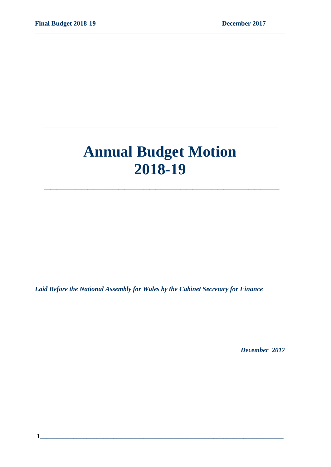# **Annual Budget Motion 2018-19**

 **\_\_\_\_\_\_\_\_\_\_\_\_\_\_\_\_\_\_\_\_\_\_\_\_\_\_\_\_\_\_\_\_\_\_\_\_\_\_**

**\_\_\_\_\_\_\_\_\_\_\_\_\_\_\_\_\_\_\_\_\_\_\_\_\_\_\_\_\_\_\_\_\_\_\_\_\_\_**

**\_\_\_\_\_\_\_\_\_\_\_\_\_\_\_\_\_\_\_\_\_\_\_\_\_\_\_\_\_\_\_\_\_\_\_\_\_\_\_\_\_\_\_\_\_\_\_\_\_\_\_\_\_\_\_\_\_\_\_\_\_\_\_\_\_\_\_\_\_\_\_\_\_\_\_**

*Laid Before the National Assembly for Wales by the Cabinet Secretary for Finance*

 *December 2017*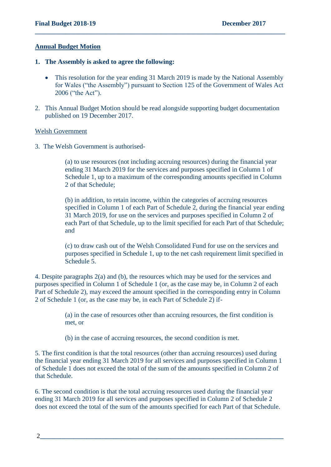#### **Annual Budget Motion**

- **1. The Assembly is asked to agree the following:**
	- This resolution for the year ending 31 March 2019 is made by the National Assembly for Wales ("the Assembly") pursuant to Section 125 of the Government of Wales Act 2006 ("the Act").

**\_\_\_\_\_\_\_\_\_\_\_\_\_\_\_\_\_\_\_\_\_\_\_\_\_\_\_\_\_\_\_\_\_\_\_\_\_\_\_\_\_\_\_\_\_\_\_\_\_\_\_\_\_\_\_\_\_\_\_\_\_\_\_\_\_\_\_\_\_\_\_\_\_\_\_**

2. This Annual Budget Motion should be read alongside supporting budget documentation published on 19 December 2017.

#### Welsh Government

3. The Welsh Government is authorised-

(a) to use resources (not including accruing resources) during the financial year ending 31 March 2019 for the services and purposes specified in Column 1 of Schedule 1, up to a maximum of the corresponding amounts specified in Column 2 of that Schedule;

(b) in addition, to retain income, within the categories of accruing resources specified in Column 1 of each Part of Schedule 2, during the financial year ending 31 March 2019, for use on the services and purposes specified in Column 2 of each Part of that Schedule, up to the limit specified for each Part of that Schedule; and

(c) to draw cash out of the Welsh Consolidated Fund for use on the services and purposes specified in Schedule 1, up to the net cash requirement limit specified in Schedule 5.

4. Despite paragraphs 2(a) and (b), the resources which may be used for the services and purposes specified in Column 1 of Schedule 1 (or, as the case may be, in Column 2 of each Part of Schedule 2), may exceed the amount specified in the corresponding entry in Column 2 of Schedule 1 (or, as the case may be, in each Part of Schedule 2) if-

> (a) in the case of resources other than accruing resources, the first condition is met, or

(b) in the case of accruing resources, the second condition is met.

5. The first condition is that the total resources (other than accruing resources) used during the financial year ending 31 March 2019 for all services and purposes specified in Column 1 of Schedule 1 does not exceed the total of the sum of the amounts specified in Column 2 of that Schedule.

6. The second condition is that the total accruing resources used during the financial year ending 31 March 2019 for all services and purposes specified in Column 2 of Schedule 2 does not exceed the total of the sum of the amounts specified for each Part of that Schedule.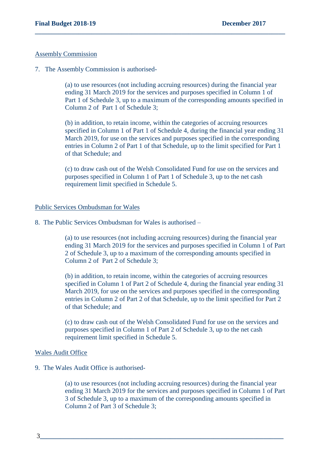#### Assembly Commission

7. The Assembly Commission is authorised-

(a) to use resources (not including accruing resources) during the financial year ending 31 March 2019 for the services and purposes specified in Column 1 of Part 1 of Schedule 3, up to a maximum of the corresponding amounts specified in Column 2 of Part 1 of Schedule 3;

**\_\_\_\_\_\_\_\_\_\_\_\_\_\_\_\_\_\_\_\_\_\_\_\_\_\_\_\_\_\_\_\_\_\_\_\_\_\_\_\_\_\_\_\_\_\_\_\_\_\_\_\_\_\_\_\_\_\_\_\_\_\_\_\_\_\_\_\_\_\_\_\_\_\_\_**

(b) in addition, to retain income, within the categories of accruing resources specified in Column 1 of Part 1 of Schedule 4, during the financial year ending 31 March 2019, for use on the services and purposes specified in the corresponding entries in Column 2 of Part 1 of that Schedule, up to the limit specified for Part 1 of that Schedule; and

(c) to draw cash out of the Welsh Consolidated Fund for use on the services and purposes specified in Column 1 of Part 1 of Schedule 3, up to the net cash requirement limit specified in Schedule 5.

#### Public Services Ombudsman for Wales

8. The Public Services Ombudsman for Wales is authorised –

(a) to use resources (not including accruing resources) during the financial year ending 31 March 2019 for the services and purposes specified in Column 1 of Part 2 of Schedule 3, up to a maximum of the corresponding amounts specified in Column 2 of Part 2 of Schedule 3;

(b) in addition, to retain income, within the categories of accruing resources specified in Column 1 of Part 2 of Schedule 4, during the financial year ending 31 March 2019, for use on the services and purposes specified in the corresponding entries in Column 2 of Part 2 of that Schedule, up to the limit specified for Part 2 of that Schedule; and

(c) to draw cash out of the Welsh Consolidated Fund for use on the services and purposes specified in Column 1 of Part 2 of Schedule 3, up to the net cash requirement limit specified in Schedule 5.

#### Wales Audit Office

9. The Wales Audit Office is authorised-

(a) to use resources (not including accruing resources) during the financial year ending 31 March 2019 for the services and purposes specified in Column 1 of Part 3 of Schedule 3, up to a maximum of the corresponding amounts specified in Column 2 of Part 3 of Schedule 3;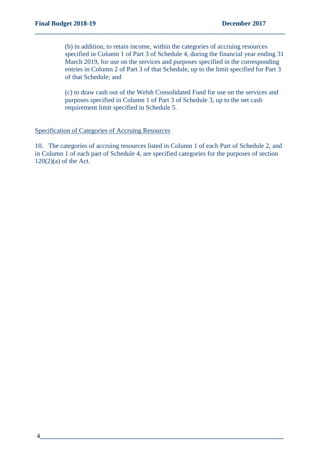(b) in addition, to retain income, within the categories of accruing resources specified in Column 1 of Part 3 of Schedule 4, during the financial year ending 31 March 2019, for use on the services and purposes specified in the corresponding entries in Column 2 of Part 3 of that Schedule, up to the limit specified for Part 3 of that Schedule; and

**\_\_\_\_\_\_\_\_\_\_\_\_\_\_\_\_\_\_\_\_\_\_\_\_\_\_\_\_\_\_\_\_\_\_\_\_\_\_\_\_\_\_\_\_\_\_\_\_\_\_\_\_\_\_\_\_\_\_\_\_\_\_\_\_\_\_\_\_\_\_\_\_\_\_\_**

(c) to draw cash out of the Welsh Consolidated Fund for use on the services and purposes specified in Column 1 of Part 3 of Schedule 3, up to the net cash requirement limit specified in Schedule 5.

#### Specification of Categories of Accruing Resources

10. The categories of accruing resources listed in Column 1 of each Part of Schedule 2, and in Column 1 of each part of Schedule 4, are specified categories for the purposes of section  $120(2)(a)$  of the Act.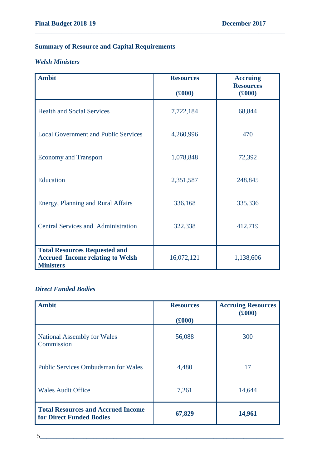# **Summary of Resource and Capital Requirements**

# *Welsh Ministers*

| <b>Ambit</b>                                                | <b>Resources</b> | <b>Accruing</b><br><b>Resources</b> |
|-------------------------------------------------------------|------------------|-------------------------------------|
|                                                             | (f000)           | (6000)                              |
| <b>Health and Social Services</b>                           | 7,722,184        | 68,844                              |
| <b>Local Government and Public Services</b>                 | 4,260,996        | 470                                 |
| <b>Economy and Transport</b>                                | 1,078,848        | 72,392                              |
| Education                                                   | 2,351,587        | 248,845                             |
| Energy, Planning and Rural Affairs                          | 336,168          | 335,336                             |
| <b>Central Services and Administration</b>                  | 322,338          | 412,719                             |
| <b>Total Resources Requested and</b>                        |                  |                                     |
| <b>Accrued Income relating to Welsh</b><br><b>Ministers</b> | 16,072,121       | 1,138,606                           |

**\_\_\_\_\_\_\_\_\_\_\_\_\_\_\_\_\_\_\_\_\_\_\_\_\_\_\_\_\_\_\_\_\_\_\_\_\_\_\_\_\_\_\_\_\_\_\_\_\_\_\_\_\_\_\_\_\_\_\_\_\_\_\_\_\_\_\_\_\_\_\_\_\_\_\_**

## *Direct Funded Bodies*

| <b>Ambit</b>                                                          | <b>Resources</b><br>(f000) | <b>Accruing Resources</b><br>(f000) |
|-----------------------------------------------------------------------|----------------------------|-------------------------------------|
| <b>National Assembly for Wales</b><br>Commission                      | 56,088                     | 300                                 |
| <b>Public Services Ombudsman for Wales</b>                            | 4,480                      | 17                                  |
| <b>Wales Audit Office</b>                                             | 7,261                      | 14,644                              |
| <b>Total Resources and Accrued Income</b><br>for Direct Funded Bodies | 67,829                     | 14,961                              |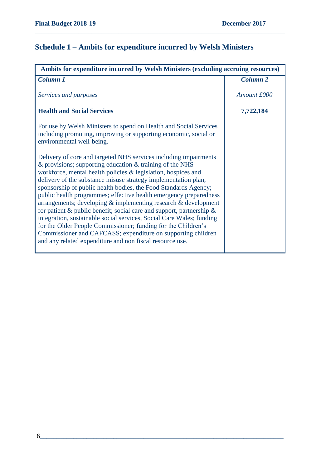# **Schedule 1 – Ambits for expenditure incurred by Welsh Ministers**

| Ambits for expenditure incurred by Welsh Ministers (excluding accruing resources)                                                                                                                                                                                                                                                                                                                                                                                                                                                                                                                                                                                                                                                                                                                                                  |                 |
|------------------------------------------------------------------------------------------------------------------------------------------------------------------------------------------------------------------------------------------------------------------------------------------------------------------------------------------------------------------------------------------------------------------------------------------------------------------------------------------------------------------------------------------------------------------------------------------------------------------------------------------------------------------------------------------------------------------------------------------------------------------------------------------------------------------------------------|-----------------|
| Column 1                                                                                                                                                                                                                                                                                                                                                                                                                                                                                                                                                                                                                                                                                                                                                                                                                           | <b>Column 2</b> |
| Services and purposes                                                                                                                                                                                                                                                                                                                                                                                                                                                                                                                                                                                                                                                                                                                                                                                                              | Amount £000     |
| <b>Health and Social Services</b>                                                                                                                                                                                                                                                                                                                                                                                                                                                                                                                                                                                                                                                                                                                                                                                                  | 7,722,184       |
| For use by Welsh Ministers to spend on Health and Social Services<br>including promoting, improving or supporting economic, social or<br>environmental well-being.                                                                                                                                                                                                                                                                                                                                                                                                                                                                                                                                                                                                                                                                 |                 |
| Delivery of core and targeted NHS services including impairments<br>$\&$ provisions; supporting education $\&$ training of the NHS<br>workforce, mental health policies & legislation, hospices and<br>delivery of the substance misuse strategy implementation plan;<br>sponsorship of public health bodies, the Food Standards Agency;<br>public health programmes; effective health emergency preparedness<br>arrangements; developing $\&$ implementing research $\&$ development<br>for patient & public benefit; social care and support, partnership &<br>integration, sustainable social services, Social Care Wales; funding<br>for the Older People Commissioner; funding for the Children's<br>Commissioner and CAFCASS; expenditure on supporting children<br>and any related expenditure and non fiscal resource use. |                 |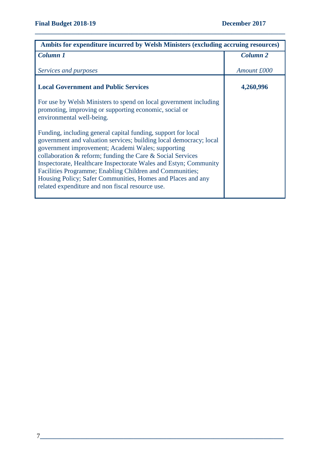| Ambits for expenditure incurred by Welsh Ministers (excluding accruing resources)                                                                                                                                                                                                                                                                                                                                                                                                                               |                 |
|-----------------------------------------------------------------------------------------------------------------------------------------------------------------------------------------------------------------------------------------------------------------------------------------------------------------------------------------------------------------------------------------------------------------------------------------------------------------------------------------------------------------|-----------------|
| Column 1                                                                                                                                                                                                                                                                                                                                                                                                                                                                                                        | <b>Column 2</b> |
| Services and purposes                                                                                                                                                                                                                                                                                                                                                                                                                                                                                           | Amount £000     |
| <b>Local Government and Public Services</b>                                                                                                                                                                                                                                                                                                                                                                                                                                                                     | 4,260,996       |
| For use by Welsh Ministers to spend on local government including<br>promoting, improving or supporting economic, social or<br>environmental well-being.                                                                                                                                                                                                                                                                                                                                                        |                 |
| Funding, including general capital funding, support for local<br>government and valuation services; building local democracy; local<br>government improvement; Academi Wales; supporting<br>collaboration $\&$ reform; funding the Care $\&$ Social Services<br>Inspectorate, Healthcare Inspectorate Wales and Estyn; Community<br>Facilities Programme; Enabling Children and Communities;<br>Housing Policy; Safer Communities, Homes and Places and any<br>related expenditure and non fiscal resource use. |                 |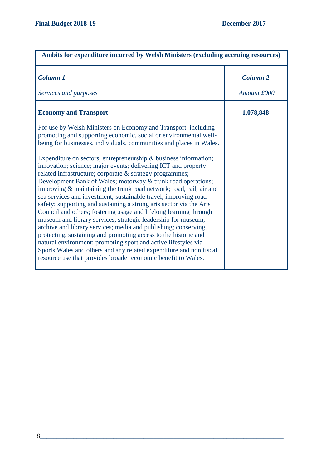| Ambits for expenditure incurred by Welsh Ministers (excluding accruing resources)                                                                                                                                                                                                                                                                                                                                                                                                                                                                                                                                                                                                                                                                                                                                                                                                                                                                                       |                 |
|-------------------------------------------------------------------------------------------------------------------------------------------------------------------------------------------------------------------------------------------------------------------------------------------------------------------------------------------------------------------------------------------------------------------------------------------------------------------------------------------------------------------------------------------------------------------------------------------------------------------------------------------------------------------------------------------------------------------------------------------------------------------------------------------------------------------------------------------------------------------------------------------------------------------------------------------------------------------------|-----------------|
| Column 1                                                                                                                                                                                                                                                                                                                                                                                                                                                                                                                                                                                                                                                                                                                                                                                                                                                                                                                                                                | <b>Column 2</b> |
| Services and purposes                                                                                                                                                                                                                                                                                                                                                                                                                                                                                                                                                                                                                                                                                                                                                                                                                                                                                                                                                   | Amount £000     |
| <b>Economy and Transport</b>                                                                                                                                                                                                                                                                                                                                                                                                                                                                                                                                                                                                                                                                                                                                                                                                                                                                                                                                            | 1,078,848       |
| For use by Welsh Ministers on Economy and Transport including<br>promoting and supporting economic, social or environmental well-<br>being for businesses, individuals, communities and places in Wales.                                                                                                                                                                                                                                                                                                                                                                                                                                                                                                                                                                                                                                                                                                                                                                |                 |
| Expenditure on sectors, entrepreneurship $\&$ business information;<br>innovation; science; major events; delivering ICT and property<br>related infrastructure; corporate & strategy programmes;<br>Development Bank of Wales; motorway & trunk road operations;<br>improving & maintaining the trunk road network; road, rail, air and<br>sea services and investment; sustainable travel; improving road<br>safety; supporting and sustaining a strong arts sector via the Arts<br>Council and others; fostering usage and lifelong learning through<br>museum and library services; strategic leadership for museum,<br>archive and library services; media and publishing; conserving,<br>protecting, sustaining and promoting access to the historic and<br>natural environment; promoting sport and active lifestyles via<br>Sports Wales and others and any related expenditure and non fiscal<br>resource use that provides broader economic benefit to Wales. |                 |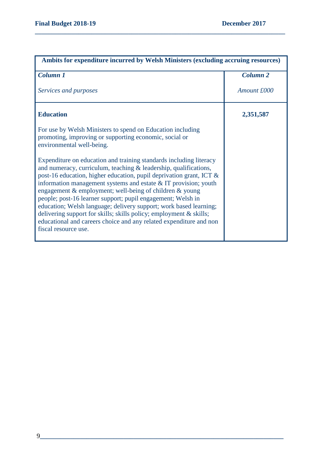| Ambits for expenditure incurred by Welsh Ministers (excluding accruing resources)                                                                                                                                                                                                                                                                                                                                                                                                                                                                                                                                                                    |                     |
|------------------------------------------------------------------------------------------------------------------------------------------------------------------------------------------------------------------------------------------------------------------------------------------------------------------------------------------------------------------------------------------------------------------------------------------------------------------------------------------------------------------------------------------------------------------------------------------------------------------------------------------------------|---------------------|
| Column 1                                                                                                                                                                                                                                                                                                                                                                                                                                                                                                                                                                                                                                             | Column <sub>2</sub> |
| Services and purposes                                                                                                                                                                                                                                                                                                                                                                                                                                                                                                                                                                                                                                | Amount £000         |
| <b>Education</b>                                                                                                                                                                                                                                                                                                                                                                                                                                                                                                                                                                                                                                     | 2,351,587           |
| For use by Welsh Ministers to spend on Education including<br>promoting, improving or supporting economic, social or<br>environmental well-being.                                                                                                                                                                                                                                                                                                                                                                                                                                                                                                    |                     |
| Expenditure on education and training standards including literacy<br>and numeracy, curriculum, teaching & leadership, qualifications,<br>post-16 education, higher education, pupil deprivation grant, ICT &<br>information management systems and estate $&IT$ provision; youth<br>engagement & employment; well-being of children & young<br>people; post-16 learner support; pupil engagement; Welsh in<br>education; Welsh language; delivery support; work based learning;<br>delivering support for skills; skills policy; employment & skills;<br>educational and careers choice and any related expenditure and non<br>fiscal resource use. |                     |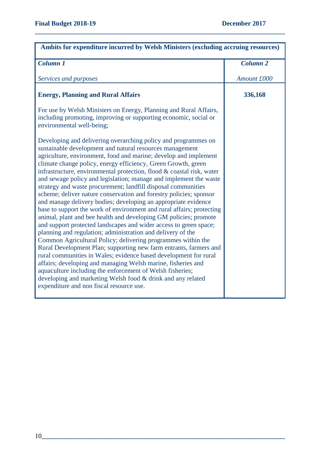| Ambits for expenditure incurred by Welsh Ministers (excluding accruing resources)                                                                                                                                                                                                                                                                                                                                                                                                                                                                                                                                                                                                                                                                                                                                                                                                                                                                                                                                                                                                                                                                                                                                                                                                                                                                        |                     |
|----------------------------------------------------------------------------------------------------------------------------------------------------------------------------------------------------------------------------------------------------------------------------------------------------------------------------------------------------------------------------------------------------------------------------------------------------------------------------------------------------------------------------------------------------------------------------------------------------------------------------------------------------------------------------------------------------------------------------------------------------------------------------------------------------------------------------------------------------------------------------------------------------------------------------------------------------------------------------------------------------------------------------------------------------------------------------------------------------------------------------------------------------------------------------------------------------------------------------------------------------------------------------------------------------------------------------------------------------------|---------------------|
| Column 1                                                                                                                                                                                                                                                                                                                                                                                                                                                                                                                                                                                                                                                                                                                                                                                                                                                                                                                                                                                                                                                                                                                                                                                                                                                                                                                                                 | Column <sub>2</sub> |
| Services and purposes                                                                                                                                                                                                                                                                                                                                                                                                                                                                                                                                                                                                                                                                                                                                                                                                                                                                                                                                                                                                                                                                                                                                                                                                                                                                                                                                    | Amount £000         |
| <b>Energy, Planning and Rural Affairs</b>                                                                                                                                                                                                                                                                                                                                                                                                                                                                                                                                                                                                                                                                                                                                                                                                                                                                                                                                                                                                                                                                                                                                                                                                                                                                                                                | 336,168             |
| For use by Welsh Ministers on Energy, Planning and Rural Affairs,<br>including promoting, improving or supporting economic, social or<br>environmental well-being;                                                                                                                                                                                                                                                                                                                                                                                                                                                                                                                                                                                                                                                                                                                                                                                                                                                                                                                                                                                                                                                                                                                                                                                       |                     |
| Developing and delivering overarching policy and programmes on<br>sustainable development and natural resources management<br>agriculture, environment, food and marine; develop and implement<br>climate change policy, energy efficiency, Green Growth, green<br>infrastructure, environmental protection, flood & coastal risk, water<br>and sewage policy and legislation; manage and implement the waste<br>strategy and waste procurement; landfill disposal communities<br>scheme; deliver nature conservation and forestry policies; sponsor<br>and manage delivery bodies; developing an appropriate evidence<br>base to support the work of environment and rural affairs; protecting<br>animal, plant and bee health and developing GM policies; promote<br>and support protected landscapes and wider access to green space;<br>planning and regulation; administration and delivery of the<br>Common Agricultural Policy; delivering programmes within the<br>Rural Development Plan; supporting new farm entrants, farmers and<br>rural communities in Wales; evidence based development for rural<br>affairs; developing and managing Welsh marine, fisheries and<br>aquaculture including the enforcement of Welsh fisheries;<br>developing and marketing Welsh food & drink and any related<br>expenditure and non fiscal resource use. |                     |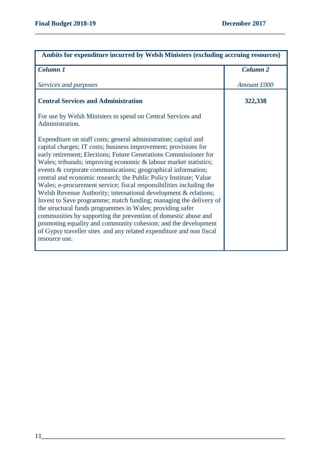| Ambits for expenditure incurred by Welsh Ministers (excluding accruing resources)                                                                                                                                                                                                                                                                                                                                                                                                                                                                                                                                                                                                                                                                                                                                                                                                                                       |                 |
|-------------------------------------------------------------------------------------------------------------------------------------------------------------------------------------------------------------------------------------------------------------------------------------------------------------------------------------------------------------------------------------------------------------------------------------------------------------------------------------------------------------------------------------------------------------------------------------------------------------------------------------------------------------------------------------------------------------------------------------------------------------------------------------------------------------------------------------------------------------------------------------------------------------------------|-----------------|
| <b>Column 1</b>                                                                                                                                                                                                                                                                                                                                                                                                                                                                                                                                                                                                                                                                                                                                                                                                                                                                                                         | <b>Column 2</b> |
| Services and purposes                                                                                                                                                                                                                                                                                                                                                                                                                                                                                                                                                                                                                                                                                                                                                                                                                                                                                                   | Amount £000     |
| <b>Central Services and Administration</b>                                                                                                                                                                                                                                                                                                                                                                                                                                                                                                                                                                                                                                                                                                                                                                                                                                                                              | 322,338         |
| For use by Welsh Ministers to spend on Central Services and<br>Administration.                                                                                                                                                                                                                                                                                                                                                                                                                                                                                                                                                                                                                                                                                                                                                                                                                                          |                 |
| Expenditure on staff costs; general administration; capital and<br>capital charges; IT costs; business improvement; provisions for<br>early retirement; Elections; Future Generations Commissioner for<br>Wales; tribunals; improving economic & labour market statistics;<br>events & corporate communications; geographical information;<br>central and economic research; the Public Policy Institute; Value<br>Wales; e-procurement service; fiscal responsibilities including the<br>Welsh Revenue Authority; international development & relations;<br>Invest to Save programme; match funding; managing the delivery of<br>the structural funds programmes in Wales; providing safer<br>communities by supporting the prevention of domestic abuse and<br>promoting equality and community cohesion; and the development<br>of Gypsy traveller sites and any related expenditure and non fiscal<br>resource use. |                 |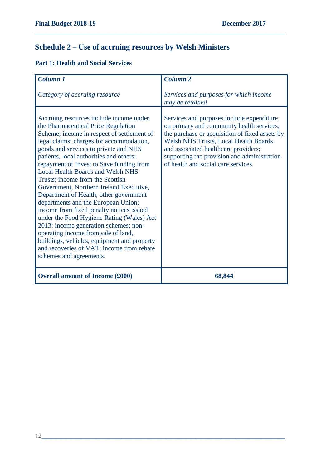# **Schedule 2 – Use of accruing resources by Welsh Ministers**

# **Part 1: Health and Social Services**

| Column <sub>1</sub>                                                                                                                                                                                                                                                                                                                                                                                                                                                                                                                                                                                                                                                                                                                                                                                                  | Column <sub>2</sub>                                                                                                                                                                                                                                                                                             |
|----------------------------------------------------------------------------------------------------------------------------------------------------------------------------------------------------------------------------------------------------------------------------------------------------------------------------------------------------------------------------------------------------------------------------------------------------------------------------------------------------------------------------------------------------------------------------------------------------------------------------------------------------------------------------------------------------------------------------------------------------------------------------------------------------------------------|-----------------------------------------------------------------------------------------------------------------------------------------------------------------------------------------------------------------------------------------------------------------------------------------------------------------|
| Category of accruing resource                                                                                                                                                                                                                                                                                                                                                                                                                                                                                                                                                                                                                                                                                                                                                                                        | Services and purposes for which income<br>may be retained                                                                                                                                                                                                                                                       |
| Accruing resources include income under<br>the Pharmaceutical Price Regulation<br>Scheme; income in respect of settlement of<br>legal claims; charges for accommodation,<br>goods and services to private and NHS<br>patients, local authorities and others;<br>repayment of Invest to Save funding from<br><b>Local Health Boards and Welsh NHS</b><br>Trusts; income from the Scottish<br>Government, Northern Ireland Executive,<br>Department of Health, other government<br>departments and the European Union;<br>income from fixed penalty notices issued<br>under the Food Hygiene Rating (Wales) Act<br>2013: income generation schemes; non-<br>operating income from sale of land,<br>buildings, vehicles, equipment and property<br>and recoveries of VAT; income from rebate<br>schemes and agreements. | Services and purposes include expenditure<br>on primary and community health services;<br>the purchase or acquisition of fixed assets by<br>Welsh NHS Trusts, Local Health Boards<br>and associated healthcare providers;<br>supporting the provision and administration<br>of health and social care services. |
| <b>Overall amount of Income (£000)</b>                                                                                                                                                                                                                                                                                                                                                                                                                                                                                                                                                                                                                                                                                                                                                                               | 68,844                                                                                                                                                                                                                                                                                                          |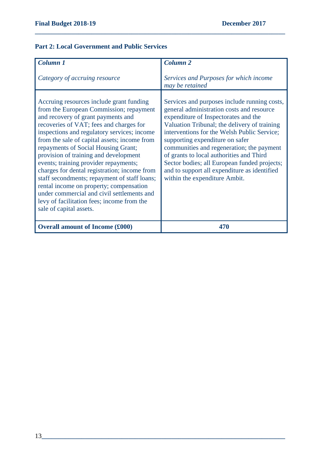## **Part 2: Local Government and Public Services**

| Column 1                                                                                                                                                                                                                                                                                                                                                                                                                                                                                                                                                                                                                                                       | <b>Column 2</b>                                                                                                                                                                                                                                                                                                                                                                                                                                                                               |
|----------------------------------------------------------------------------------------------------------------------------------------------------------------------------------------------------------------------------------------------------------------------------------------------------------------------------------------------------------------------------------------------------------------------------------------------------------------------------------------------------------------------------------------------------------------------------------------------------------------------------------------------------------------|-----------------------------------------------------------------------------------------------------------------------------------------------------------------------------------------------------------------------------------------------------------------------------------------------------------------------------------------------------------------------------------------------------------------------------------------------------------------------------------------------|
| Category of accruing resource                                                                                                                                                                                                                                                                                                                                                                                                                                                                                                                                                                                                                                  | Services and Purposes for which income<br>may be retained                                                                                                                                                                                                                                                                                                                                                                                                                                     |
| Accruing resources include grant funding<br>from the European Commission; repayment<br>and recovery of grant payments and<br>recoveries of VAT; fees and charges for<br>inspections and regulatory services; income<br>from the sale of capital assets; income from<br>repayments of Social Housing Grant;<br>provision of training and development<br>events; training provider repayments;<br>charges for dental registration; income from<br>staff secondments; repayment of staff loans;<br>rental income on property; compensation<br>under commercial and civil settlements and<br>levy of facilitation fees; income from the<br>sale of capital assets. | Services and purposes include running costs,<br>general administration costs and resource<br>expenditure of Inspectorates and the<br>Valuation Tribunal; the delivery of training<br>interventions for the Welsh Public Service;<br>supporting expenditure on safer<br>communities and regeneration; the payment<br>of grants to local authorities and Third<br>Sector bodies; all European funded projects;<br>and to support all expenditure as identified<br>within the expenditure Ambit. |
| <b>Overall amount of Income (£000)</b>                                                                                                                                                                                                                                                                                                                                                                                                                                                                                                                                                                                                                         | 470                                                                                                                                                                                                                                                                                                                                                                                                                                                                                           |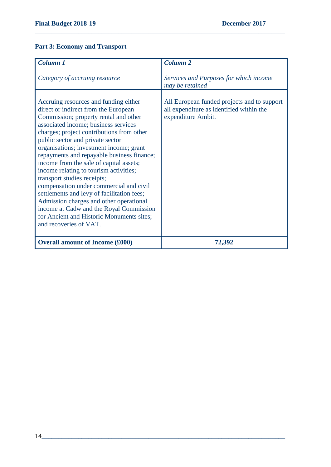# **Part 3: Economy and Transport**

| Column 1                                                                                                                                                                                                                                                                                                                                                                                                                                                                                                                                                                                                                                                                                                           | <b>Column 2</b>                                                                                               |
|--------------------------------------------------------------------------------------------------------------------------------------------------------------------------------------------------------------------------------------------------------------------------------------------------------------------------------------------------------------------------------------------------------------------------------------------------------------------------------------------------------------------------------------------------------------------------------------------------------------------------------------------------------------------------------------------------------------------|---------------------------------------------------------------------------------------------------------------|
| Category of accruing resource                                                                                                                                                                                                                                                                                                                                                                                                                                                                                                                                                                                                                                                                                      | Services and Purposes for which income<br>may be retained                                                     |
| Accruing resources and funding either<br>direct or indirect from the European<br>Commission; property rental and other<br>associated income; business services<br>charges; project contributions from other<br>public sector and private sector<br>organisations; investment income; grant<br>repayments and repayable business finance;<br>income from the sale of capital assets;<br>income relating to tourism activities;<br>transport studies receipts;<br>compensation under commercial and civil<br>settlements and levy of facilitation fees;<br>Admission charges and other operational<br>income at Cadw and the Royal Commission<br>for Ancient and Historic Monuments sites;<br>and recoveries of VAT. | All European funded projects and to support<br>all expenditure as identified within the<br>expenditure Ambit. |
| <b>Overall amount of Income (£000)</b>                                                                                                                                                                                                                                                                                                                                                                                                                                                                                                                                                                                                                                                                             | 72,392                                                                                                        |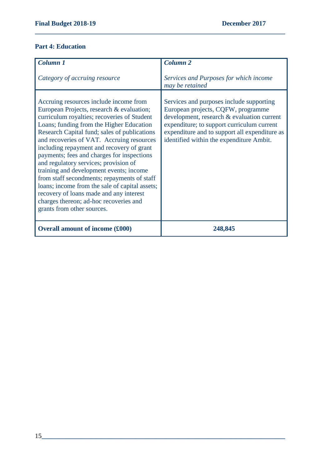#### **Part 4: Education**

| Column 1<br>Category of accruing resource                                                                                                                                                                                                                                                                                                                                                                                                                                                                                                                                                                                                                                      | <b>Column 2</b><br>Services and Purposes for which income<br>may be retained                                                                                                                                                                                            |
|--------------------------------------------------------------------------------------------------------------------------------------------------------------------------------------------------------------------------------------------------------------------------------------------------------------------------------------------------------------------------------------------------------------------------------------------------------------------------------------------------------------------------------------------------------------------------------------------------------------------------------------------------------------------------------|-------------------------------------------------------------------------------------------------------------------------------------------------------------------------------------------------------------------------------------------------------------------------|
| Accruing resources include income from<br>European Projects, research & evaluation;<br>curriculum royalties; recoveries of Student<br>Loans; funding from the Higher Education<br>Research Capital fund; sales of publications<br>and recoveries of VAT. Accruing resources<br>including repayment and recovery of grant<br>payments; fees and charges for inspections<br>and regulatory services; provision of<br>training and development events; income<br>from staff secondments; repayments of staff<br>loans; income from the sale of capital assets;<br>recovery of loans made and any interest<br>charges thereon; ad-hoc recoveries and<br>grants from other sources. | Services and purposes include supporting<br>European projects, CQFW, programme<br>development, research & evaluation current<br>expenditure; to support curriculum current<br>expenditure and to support all expenditure as<br>identified within the expenditure Ambit. |
| <b>Overall amount of income (£000)</b>                                                                                                                                                                                                                                                                                                                                                                                                                                                                                                                                                                                                                                         | 248,845                                                                                                                                                                                                                                                                 |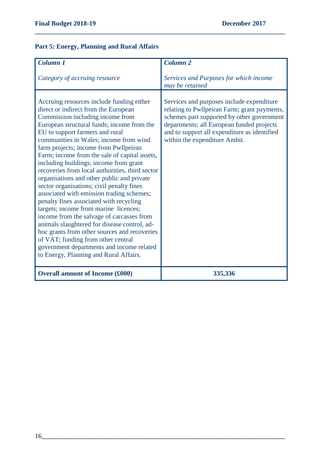# **Part 5: Energy, Planning and Rural Affairs**

| <b>Column 1</b>                                                                                                                                                                                                                                                                                                                                                                                                                                                                                                                                                                                                                                                                                                                                                                                                                                                                                                                               | <b>Column 2</b>                                                                                                                                                                                                                                                       |
|-----------------------------------------------------------------------------------------------------------------------------------------------------------------------------------------------------------------------------------------------------------------------------------------------------------------------------------------------------------------------------------------------------------------------------------------------------------------------------------------------------------------------------------------------------------------------------------------------------------------------------------------------------------------------------------------------------------------------------------------------------------------------------------------------------------------------------------------------------------------------------------------------------------------------------------------------|-----------------------------------------------------------------------------------------------------------------------------------------------------------------------------------------------------------------------------------------------------------------------|
| Category of accruing resource                                                                                                                                                                                                                                                                                                                                                                                                                                                                                                                                                                                                                                                                                                                                                                                                                                                                                                                 | Services and Purposes for which income<br>may be retained                                                                                                                                                                                                             |
| Accruing resources include funding either<br>direct or indirect from the European<br>Commission including income from<br>European structural funds; income from the<br>EU to support farmers and rural<br>communities in Wales; income from wind<br>farm projects; income from Pwllpeiran<br>Farm; income from the sale of capital assets,<br>including buildings; income from grant<br>recoveries from local authorities, third sector<br>organisations and other public and private<br>sector organisations; civil penalty fines<br>associated with emission trading schemes;<br>penalty fines associated with recycling<br>targets; income from marine licences;<br>income from the salvage of carcasses from<br>animals slaughtered for disease control, ad-<br>hoc grants from other sources and recoveries<br>of VAT; funding from other central<br>government departments and income related<br>to Energy, Planning and Rural Affairs. | Services and purposes include expenditure<br>relating to Pwllpeiran Farm; grant payments,<br>schemes part supported by other government<br>departments; all European funded projects<br>and to support all expenditure as identified<br>within the expenditure Ambit. |
| <b>Overall amount of Income (£000)</b>                                                                                                                                                                                                                                                                                                                                                                                                                                                                                                                                                                                                                                                                                                                                                                                                                                                                                                        | 335,336                                                                                                                                                                                                                                                               |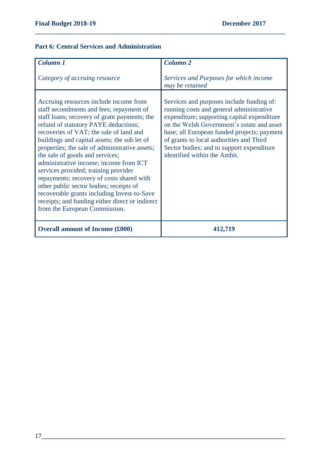#### **Part 6: Central Services and Administration**

| Column 1                                                                                                                                                                                                                                                                                                                                                                                                                                                                                                                                                                                                                                                                | <b>Column 2</b>                                                                                                                                                                                                                                                                                                                                            |
|-------------------------------------------------------------------------------------------------------------------------------------------------------------------------------------------------------------------------------------------------------------------------------------------------------------------------------------------------------------------------------------------------------------------------------------------------------------------------------------------------------------------------------------------------------------------------------------------------------------------------------------------------------------------------|------------------------------------------------------------------------------------------------------------------------------------------------------------------------------------------------------------------------------------------------------------------------------------------------------------------------------------------------------------|
| Category of accruing resource                                                                                                                                                                                                                                                                                                                                                                                                                                                                                                                                                                                                                                           | Services and Purposes for which income<br>may be retained                                                                                                                                                                                                                                                                                                  |
| Accruing resources include income from<br>staff secondments and fees; repayment of<br>staff loans; recovery of grant payments; the<br>refund of statutory PAYE deductions;<br>recoveries of VAT; the sale of land and<br>buildings and capital assets; the sub let of<br>properties; the sale of administrative assets;<br>the sale of goods and services;<br>administrative income; income from ICT<br>services provided; training provider<br>repayments; recovery of costs shared with<br>other public sector bodies; receipts of<br>recoverable grants including Invest-to-Save<br>receipts; and funding either direct or indirect<br>from the European Commission. | Services and purposes include funding of:<br>running costs and general administrative<br>expenditure; supporting capital expenditure<br>on the Welsh Government's estate and asset<br>base; all European funded projects; payment<br>of grants to local authorities and Third<br>Sector bodies; and to support expenditure<br>identified within the Ambit. |
| <b>Overall amount of Income (£000)</b>                                                                                                                                                                                                                                                                                                                                                                                                                                                                                                                                                                                                                                  | 412,719                                                                                                                                                                                                                                                                                                                                                    |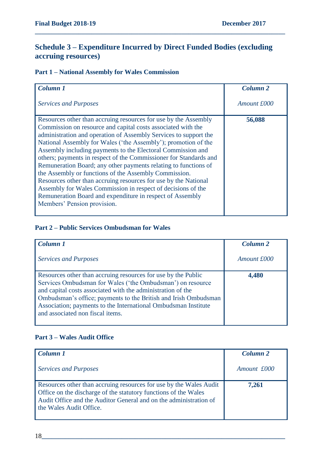# **Schedule 3 – Expenditure Incurred by Direct Funded Bodies (excluding accruing resources)**

**\_\_\_\_\_\_\_\_\_\_\_\_\_\_\_\_\_\_\_\_\_\_\_\_\_\_\_\_\_\_\_\_\_\_\_\_\_\_\_\_\_\_\_\_\_\_\_\_\_\_\_\_\_\_\_\_\_\_\_\_\_\_\_\_\_\_\_\_\_\_\_\_\_\_\_**

# **Part 1 – National Assembly for Wales Commission**

| <b>Column 1</b>                                                                                                                                                                                                                                                                                                                                                                                                                                                                                                                                                                                                                                                                                                                                                      | <b>Column 2</b> |
|----------------------------------------------------------------------------------------------------------------------------------------------------------------------------------------------------------------------------------------------------------------------------------------------------------------------------------------------------------------------------------------------------------------------------------------------------------------------------------------------------------------------------------------------------------------------------------------------------------------------------------------------------------------------------------------------------------------------------------------------------------------------|-----------------|
| <b>Services and Purposes</b>                                                                                                                                                                                                                                                                                                                                                                                                                                                                                                                                                                                                                                                                                                                                         | Amount £000     |
| Resources other than accruing resources for use by the Assembly<br>Commission on resource and capital costs associated with the<br>administration and operation of Assembly Services to support the<br>National Assembly for Wales ('the Assembly'); promotion of the<br>Assembly including payments to the Electoral Commission and<br>others; payments in respect of the Commissioner for Standards and<br>Remuneration Board; any other payments relating to functions of<br>the Assembly or functions of the Assembly Commission.<br>Resources other than accruing resources for use by the National<br>Assembly for Wales Commission in respect of decisions of the<br>Remuneration Board and expenditure in respect of Assembly<br>Members' Pension provision. | 56,088          |

#### **Part 2 – Public Services Ombudsman for Wales**

| Column 1                                                                                                                                                                                                                                                                                                                                                            | Column <sub>2</sub> |
|---------------------------------------------------------------------------------------------------------------------------------------------------------------------------------------------------------------------------------------------------------------------------------------------------------------------------------------------------------------------|---------------------|
| <b>Services and Purposes</b>                                                                                                                                                                                                                                                                                                                                        | Amount £000         |
| Resources other than accruing resources for use by the Public<br>Services Ombudsman for Wales ('the Ombudsman') on resource<br>and capital costs associated with the administration of the<br>Ombudsman's office; payments to the British and Irish Ombudsman<br>Association; payments to the International Ombudsman Institute<br>and associated non fiscal items. | 4,480               |

#### **Part 3 – Wales Audit Office**

| <b>Column 1</b>                                                                                                                                                                                                                       | Column <sub>2</sub> |
|---------------------------------------------------------------------------------------------------------------------------------------------------------------------------------------------------------------------------------------|---------------------|
| <b>Services and Purposes</b>                                                                                                                                                                                                          | Amount £000         |
| Resources other than accruing resources for use by the Wales Audit<br>Office on the discharge of the statutory functions of the Wales<br>Audit Office and the Auditor General and on the administration of<br>the Wales Audit Office. | 7,261               |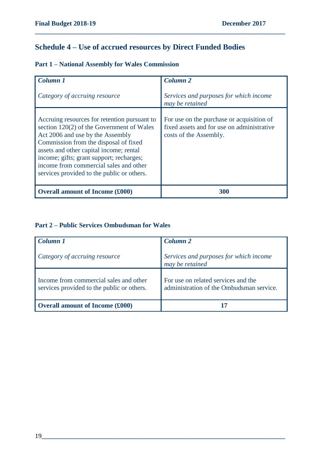# **Schedule 4 – Use of accrued resources by Direct Funded Bodies**

|  |  |  |  |  | <b>Part 1 - National Assembly for Wales Commission</b> |
|--|--|--|--|--|--------------------------------------------------------|
|--|--|--|--|--|--------------------------------------------------------|

| <b>Column 1</b>                                                                                                                                                                                                                                                                                                                                       | Column <sub>2</sub>                                                                                               |
|-------------------------------------------------------------------------------------------------------------------------------------------------------------------------------------------------------------------------------------------------------------------------------------------------------------------------------------------------------|-------------------------------------------------------------------------------------------------------------------|
|                                                                                                                                                                                                                                                                                                                                                       |                                                                                                                   |
| Category of accruing resource                                                                                                                                                                                                                                                                                                                         | Services and purposes for which income<br>may be retained                                                         |
| Accruing resources for retention pursuant to<br>section 120(2) of the Government of Wales<br>Act 2006 and use by the Assembly<br>Commission from the disposal of fixed<br>assets and other capital income; rental<br>income; gifts; grant support; recharges;<br>income from commercial sales and other<br>services provided to the public or others. | For use on the purchase or acquisition of<br>fixed assets and for use on administrative<br>costs of the Assembly. |
| <b>Overall amount of Income (£000)</b>                                                                                                                                                                                                                                                                                                                | 300                                                                                                               |

**\_\_\_\_\_\_\_\_\_\_\_\_\_\_\_\_\_\_\_\_\_\_\_\_\_\_\_\_\_\_\_\_\_\_\_\_\_\_\_\_\_\_\_\_\_\_\_\_\_\_\_\_\_\_\_\_\_\_\_\_\_\_\_\_\_\_\_\_\_\_\_\_\_\_\_**

## **Part 2 – Public Services Ombudsman for Wales**

| Column 1                                                                             | Column <sub>2</sub>                                                             |
|--------------------------------------------------------------------------------------|---------------------------------------------------------------------------------|
| Category of accruing resource                                                        | Services and purposes for which income<br>may be retained                       |
| Income from commercial sales and other<br>services provided to the public or others. | For use on related services and the<br>administration of the Ombudsman service. |
| <b>Overall amount of Income (£000)</b>                                               |                                                                                 |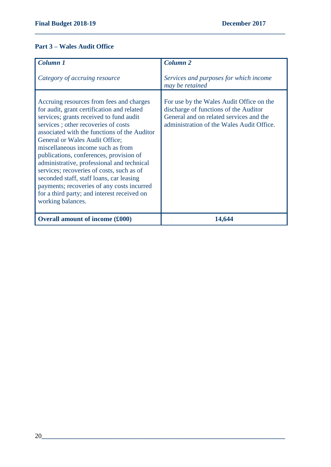### **Part 3 – Wales Audit Office**

| Column 1                                                                                                                                                                                                                                                                                                                                                                                                                                                                                                                                                                                            | <b>Column 2</b>                                                                                                                                                           |
|-----------------------------------------------------------------------------------------------------------------------------------------------------------------------------------------------------------------------------------------------------------------------------------------------------------------------------------------------------------------------------------------------------------------------------------------------------------------------------------------------------------------------------------------------------------------------------------------------------|---------------------------------------------------------------------------------------------------------------------------------------------------------------------------|
| Category of accruing resource                                                                                                                                                                                                                                                                                                                                                                                                                                                                                                                                                                       | Services and purposes for which income<br>may be retained                                                                                                                 |
| Accruing resources from fees and charges<br>for audit, grant certification and related<br>services; grants received to fund audit<br>services; other recoveries of costs<br>associated with the functions of the Auditor<br>General or Wales Audit Office;<br>miscellaneous income such as from<br>publications, conferences, provision of<br>administrative, professional and technical<br>services; recoveries of costs, such as of<br>seconded staff, staff loans, car leasing<br>payments; recoveries of any costs incurred<br>for a third party; and interest received on<br>working balances. | For use by the Wales Audit Office on the<br>discharge of functions of the Auditor<br>General and on related services and the<br>administration of the Wales Audit Office. |
| <b>Overall amount of income (£000)</b>                                                                                                                                                                                                                                                                                                                                                                                                                                                                                                                                                              | 14,644                                                                                                                                                                    |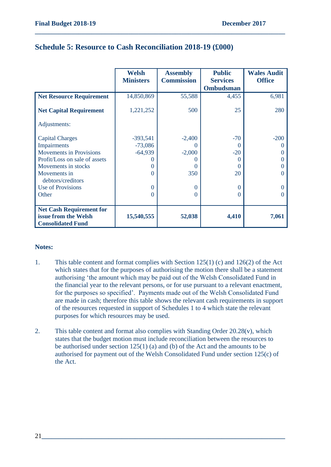|                                 | <b>Welsh</b>     | <b>Assembly</b>   | <b>Public</b>     | <b>Wales Audit</b> |  |
|---------------------------------|------------------|-------------------|-------------------|--------------------|--|
|                                 | <b>Ministers</b> | <b>Commission</b> | <b>Services</b>   | <b>Office</b>      |  |
|                                 |                  |                   | <b>Ombudsman</b>  |                    |  |
| <b>Net Resource Requirement</b> | 14,850,869       | 55,588            | 4,455             | 6,981              |  |
| <b>Net Capital Requirement</b>  | 1,221,252        | 500               | 25                | 280                |  |
| Adjustments:                    |                  |                   |                   |                    |  |
| <b>Capital Charges</b>          | $-393,541$       | $-2,400$          | $-70$             | $-200$             |  |
| Impairments                     | $-73,086$        | $\left( \right)$  | $\theta$          |                    |  |
| <b>Movements in Provisions</b>  | $-64,939$        | $-2,000$          | $-20$             |                    |  |
| Profit/Loss on sale of assets   |                  |                   | $\mathbf{\Omega}$ |                    |  |
| Movements in stocks             | $\Omega$         |                   | $\theta$          |                    |  |
| Movements in                    | 0                | 350               | 20                |                    |  |
| debtors/creditors               |                  |                   |                   |                    |  |
| <b>Use of Provisions</b>        | $\Omega$         | $\Omega$          | $\overline{0}$    |                    |  |
| Other                           | $\Omega$         | 0                 | $\theta$          |                    |  |
|                                 |                  |                   |                   |                    |  |
| <b>Net Cash Requirement for</b> |                  |                   |                   |                    |  |
| issue from the Welsh            | 15,540,555       | 52,038            | 4,410             | 7,061              |  |
| <b>Consolidated Fund</b>        |                  |                   |                   |                    |  |

## **Schedule 5: Resource to Cash Reconciliation 2018-19 (£000)**

#### **Notes:**

- 1. This table content and format complies with Section 125(1) (c) and 126(2) of the Act which states that for the purposes of authorising the motion there shall be a statement authorising 'the amount which may be paid out of the Welsh Consolidated Fund in the financial year to the relevant persons, or for use pursuant to a relevant enactment, for the purposes so specified'. Payments made out of the Welsh Consolidated Fund are made in cash; therefore this table shows the relevant cash requirements in support of the resources requested in support of Schedules 1 to 4 which state the relevant purposes for which resources may be used.
- 2. This table content and format also complies with Standing Order 20.28(v), which states that the budget motion must include reconciliation between the resources to be authorised under section 125(1) (a) and (b) of the Act and the amounts to be authorised for payment out of the Welsh Consolidated Fund under section 125(c) of the Act.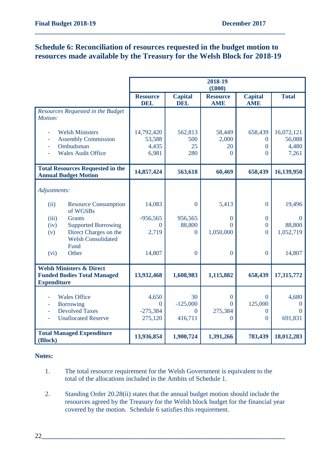# **Schedule 6: Reconciliation of resources requested in the budget motion to resources made available by the Treasury for the Welsh Block for 2018-19**

**\_\_\_\_\_\_\_\_\_\_\_\_\_\_\_\_\_\_\_\_\_\_\_\_\_\_\_\_\_\_\_\_\_\_\_\_\_\_\_\_\_\_\_\_\_\_\_\_\_\_\_\_\_\_\_\_\_\_\_\_\_\_\_\_\_\_\_\_\_\_\_\_\_\_\_**

|                                                                                                                | 2018-19<br>(f000)                      |                              |                                         |                                                   |                                        |
|----------------------------------------------------------------------------------------------------------------|----------------------------------------|------------------------------|-----------------------------------------|---------------------------------------------------|----------------------------------------|
|                                                                                                                | <b>Resource</b><br><b>DEL</b>          | <b>Capital</b><br><b>DEL</b> | <b>Resource</b><br><b>AME</b>           | <b>Capital</b><br><b>AME</b>                      | <b>Total</b>                           |
| Resources Requested in the Budget<br>Motion:                                                                   |                                        |                              |                                         |                                                   |                                        |
| <b>Welsh Ministers</b><br><b>Assembly Commission</b><br>٠<br>Ombudsman<br>ä,<br><b>Wales Audit Office</b><br>٠ | 14,792,420<br>53,588<br>4,435<br>6,981 | 562,813<br>500<br>25<br>280  | 58,449<br>2,000<br>20<br>$\overline{0}$ | 658,439<br>$\theta$<br>$\overline{0}$<br>$\Omega$ | 16,072,121<br>56,088<br>4,480<br>7,261 |
| <b>Total Resources Requested in the</b><br><b>Annual Budget Motion</b>                                         | 14,857,424                             | 563,618                      | 60,469                                  | 658,439                                           | 16,139,950                             |
| Adjustments:                                                                                                   |                                        |                              |                                         |                                                   |                                        |
| (ii)<br><b>Resource Consumption</b><br>of WGSBs                                                                | 14,083                                 | $\overline{0}$               | 5,413                                   | $\overline{0}$                                    | 19,496                                 |
| (iii)<br><b>Grants</b>                                                                                         | $-956,565$                             | 956,565                      | $\overline{0}$                          | $\mathbf{0}$                                      | $\Omega$                               |
| <b>Supported Borrowing</b><br>(iv)                                                                             | 0                                      | 88,800                       | $\theta$                                | $\overline{0}$                                    | 88,800                                 |
| Direct Charges on the<br>(v)<br><b>Welsh Consolidated</b><br>Fund                                              | 2,719                                  | $\overline{0}$               | 1,050,000                               | $\overline{0}$                                    | 1,052,719                              |
| (vi)<br>Other                                                                                                  | 14,807                                 | $\overline{0}$               | $\overline{0}$                          | $\overline{0}$                                    | 14,807                                 |
| <b>Welsh Ministers &amp; Direct</b><br><b>Funded Bodies Total Managed</b><br><b>Expenditure</b>                | 13,932,468                             | 1,608,983                    | 1,115,882                               | 658,439                                           | 17,315,772                             |
| <b>Wales Office</b><br><b>Borrowing</b><br>÷,                                                                  | 4,650<br>$\mathbf{0}$                  | 30<br>$-125,000$             | $\boldsymbol{0}$<br>$\theta$            | $\theta$<br>125,000                               | 4,680<br>0                             |
| <b>Devolved Taxes</b><br>ä,                                                                                    | $-275,384$                             | $\Omega$                     | 275,384                                 | $\theta$                                          | $\Omega$                               |
| <b>Unallocated Reserve</b><br>÷.                                                                               | 275,120                                | 416,711                      | $\overline{0}$                          | $\theta$                                          | 691,831                                |
| <b>Total Managed Expenditure</b><br>(Block)                                                                    | 13,936,854                             | 1,900,724                    | 1,391,266                               | 783,439                                           | 18,012,283                             |

#### **Notes:**

- 1. The total resource requirement for the Welsh Government is equivalent to the total of the allocations included in the Ambits of Schedule 1.
- 2. Standing Order 20.28(ii) states that the annual budget motion should include the resources agreed by the Treasury for the Welsh block budget for the financial year covered by the motion. Schedule 6 satisfies this requirement.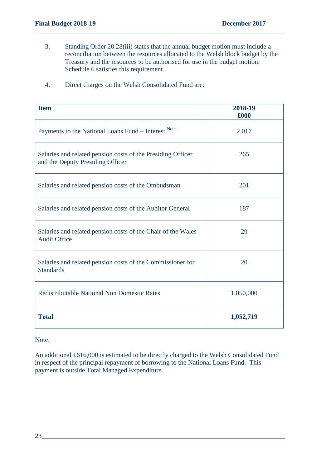3. Standing Order 20.28(iii) states that the annual budget motion must include a reconciliation between the resources allocated to the Welsh block budget by the Treasury and the resources to be authorised for use in the budget motion. Schedule 6 satisfies this requirement.

**\_\_\_\_\_\_\_\_\_\_\_\_\_\_\_\_\_\_\_\_\_\_\_\_\_\_\_\_\_\_\_\_\_\_\_\_\_\_\_\_\_\_\_\_\_\_\_\_\_\_\_\_\_\_\_\_\_\_\_\_\_\_\_\_\_\_\_\_\_\_\_\_\_\_\_**

| <b>Item</b>                                                                                     | 2018-19<br>£000 |
|-------------------------------------------------------------------------------------------------|-----------------|
| Payments to the National Loans Fund – Interest Note                                             | 2,017           |
| Salaries and related pension costs of the Presiding Officer<br>and the Deputy Presiding Officer | 265             |
| Salaries and related pension costs of the Ombudsman                                             | 201             |
| Salaries and related pension costs of the Auditor General                                       | 187             |
| Salaries and related pension costs of the Chair of the Wales<br><b>Audit Office</b>             | 29              |
| Salaries and related pension costs of the Commissioner for<br><b>Standards</b>                  | 20              |
| <b>Redistributable National Non Domestic Rates</b>                                              | 1,050,000       |
| <b>Total</b>                                                                                    | 1,052,719       |

4. Direct charges on the Welsh Consolidated Fund are:

#### Note:

An additional £616,000 is estimated to be directly charged to the Welsh Consolidated Fund in respect of the principal repayment of borrowing to the National Loans Fund. This payment is outside Total Managed Expenditure.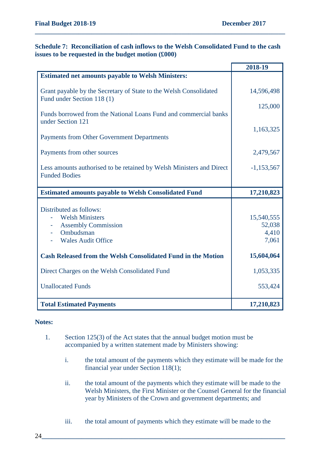#### **Schedule 7: Reconciliation of cash inflows to the Welsh Consolidated Fund to the cash issues to be requested in the budget motion (£000)**

**\_\_\_\_\_\_\_\_\_\_\_\_\_\_\_\_\_\_\_\_\_\_\_\_\_\_\_\_\_\_\_\_\_\_\_\_\_\_\_\_\_\_\_\_\_\_\_\_\_\_\_\_\_\_\_\_\_\_\_\_\_\_\_\_\_\_\_\_\_\_\_\_\_\_\_**

|                                                                                                 | 2018-19      |
|-------------------------------------------------------------------------------------------------|--------------|
| <b>Estimated net amounts payable to Welsh Ministers:</b>                                        |              |
| Grant payable by the Secretary of State to the Welsh Consolidated<br>Fund under Section 118 (1) | 14,596,498   |
| Funds borrowed from the National Loans Fund and commercial banks                                | 125,000      |
| under Section 121<br><b>Payments from Other Government Departments</b>                          | 1,163,325    |
|                                                                                                 |              |
| Payments from other sources                                                                     | 2,479,567    |
| Less amounts authorised to be retained by Welsh Ministers and Direct<br><b>Funded Bodies</b>    | $-1,153,567$ |
|                                                                                                 |              |
| <b>Estimated amounts payable to Welsh Consolidated Fund</b>                                     | 17,210,823   |
|                                                                                                 |              |
| Distributed as follows:                                                                         |              |
| <b>Welsh Ministers</b>                                                                          | 15,540,555   |
| <b>Assembly Commission</b>                                                                      | 52,038       |
| Ombudsman                                                                                       | 4,410        |
| <b>Wales Audit Office</b>                                                                       | 7,061        |
| <b>Cash Released from the Welsh Consolidated Fund in the Motion</b>                             | 15,604,064   |
| Direct Charges on the Welsh Consolidated Fund                                                   | 1,053,335    |
| <b>Unallocated Funds</b>                                                                        | 553,424      |
| <b>Total Estimated Payments</b>                                                                 | 17,210,823   |

#### **Notes:**

- 1. Section 125(3) of the Act states that the annual budget motion must be accompanied by a written statement made by Ministers showing:
	- i. the total amount of the payments which they estimate will be made for the financial year under Section 118(1);
	- ii. the total amount of the payments which they estimate will be made to the Welsh Ministers, the First Minister or the Counsel General for the financial year by Ministers of the Crown and government departments; and
	- iii. the total amount of payments which they estimate will be made to the